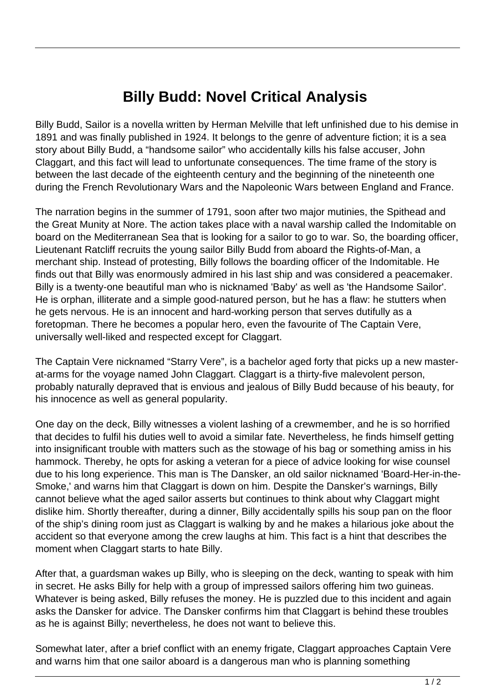## **Billy Budd: Novel Critical Analysis**

Billy Budd, Sailor is a novella written by Herman Melville that left unfinished due to his demise in 1891 and was finally published in 1924. It belongs to the genre of adventure fiction; it is a sea story about Billy Budd, a "handsome sailor" who accidentally kills his false accuser, John Claggart, and this fact will lead to unfortunate consequences. The time frame of the story is between the last decade of the eighteenth century and the beginning of the nineteenth one during the French Revolutionary Wars and the Napoleonic Wars between England and France.

The narration begins in the summer of 1791, soon after two major mutinies, the Spithead and the Great Munity at Nore. The action takes place with a naval warship called the Indomitable on board on the Mediterranean Sea that is looking for a sailor to go to war. So, the boarding officer, Lieutenant Ratcliff recruits the young sailor Billy Budd from aboard the Rights-of-Man, a merchant ship. Instead of protesting, Billy follows the boarding officer of the Indomitable. He finds out that Billy was enormously admired in his last ship and was considered a peacemaker. Billy is a twenty-one beautiful man who is nicknamed 'Baby' as well as 'the Handsome Sailor'. He is orphan, illiterate and a simple good-natured person, but he has a flaw: he stutters when he gets nervous. He is an innocent and hard-working person that serves dutifully as a foretopman. There he becomes a popular hero, even the favourite of The Captain Vere, universally well-liked and respected except for Claggart.

The Captain Vere nicknamed "Starry Vere", is a bachelor aged forty that picks up a new masterat-arms for the voyage named John Claggart. Claggart is a thirty-five malevolent person, probably naturally depraved that is envious and jealous of Billy Budd because of his beauty, for his innocence as well as general popularity.

One day on the deck, Billy witnesses a violent lashing of a crewmember, and he is so horrified that decides to fulfil his duties well to avoid a similar fate. Nevertheless, he finds himself getting into insignificant trouble with matters such as the stowage of his bag or something amiss in his hammock. Thereby, he opts for asking a veteran for a piece of advice looking for wise counsel due to his long experience. This man is The Dansker, an old sailor nicknamed 'Board-Her-in-the-Smoke,' and warns him that Claggart is down on him. Despite the Dansker's warnings, Billy cannot believe what the aged sailor asserts but continues to think about why Claggart might dislike him. Shortly thereafter, during a dinner, Billy accidentally spills his soup pan on the floor of the ship's dining room just as Claggart is walking by and he makes a hilarious joke about the accident so that everyone among the crew laughs at him. This fact is a hint that describes the moment when Claggart starts to hate Billy.

After that, a guardsman wakes up Billy, who is sleeping on the deck, wanting to speak with him in secret. He asks Billy for help with a group of impressed sailors offering him two guineas. Whatever is being asked, Billy refuses the money. He is puzzled due to this incident and again asks the Dansker for advice. The Dansker confirms him that Claggart is behind these troubles as he is against Billy; nevertheless, he does not want to believe this.

Somewhat later, after a brief conflict with an enemy frigate, Claggart approaches Captain Vere and warns him that one sailor aboard is a dangerous man who is planning something